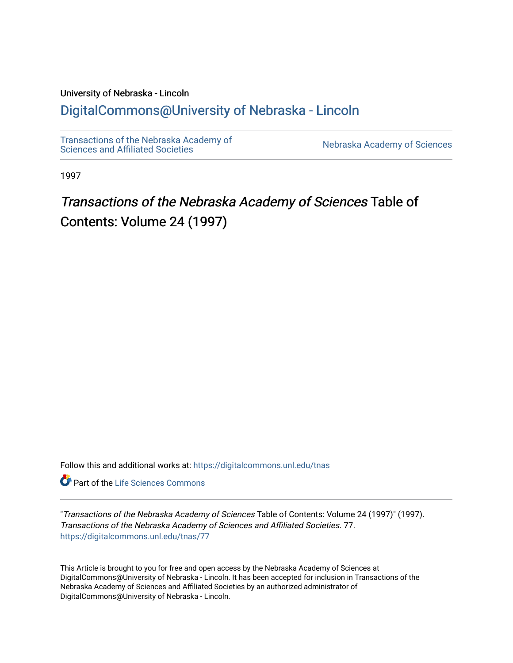### University of Nebraska - Lincoln

### [DigitalCommons@University of Nebraska - Lincoln](https://digitalcommons.unl.edu/)

[Transactions of the Nebraska Academy of](https://digitalcommons.unl.edu/tnas)  Transactions of the Nebraska Academy of Sciences<br>Sciences and Affiliated Societies

1997

# Transactions of the Nebraska Academy of Sciences Table of Contents: Volume 24 (1997)

Follow this and additional works at: [https://digitalcommons.unl.edu/tnas](https://digitalcommons.unl.edu/tnas?utm_source=digitalcommons.unl.edu%2Ftnas%2F77&utm_medium=PDF&utm_campaign=PDFCoverPages) 

**Part of the Life Sciences Commons** 

"Transactions of the Nebraska Academy of Sciences Table of Contents: Volume 24 (1997)" (1997). Transactions of the Nebraska Academy of Sciences and Affiliated Societies. 77. [https://digitalcommons.unl.edu/tnas/77](https://digitalcommons.unl.edu/tnas/77?utm_source=digitalcommons.unl.edu%2Ftnas%2F77&utm_medium=PDF&utm_campaign=PDFCoverPages)

This Article is brought to you for free and open access by the Nebraska Academy of Sciences at DigitalCommons@University of Nebraska - Lincoln. It has been accepted for inclusion in Transactions of the Nebraska Academy of Sciences and Affiliated Societies by an authorized administrator of DigitalCommons@University of Nebraska - Lincoln.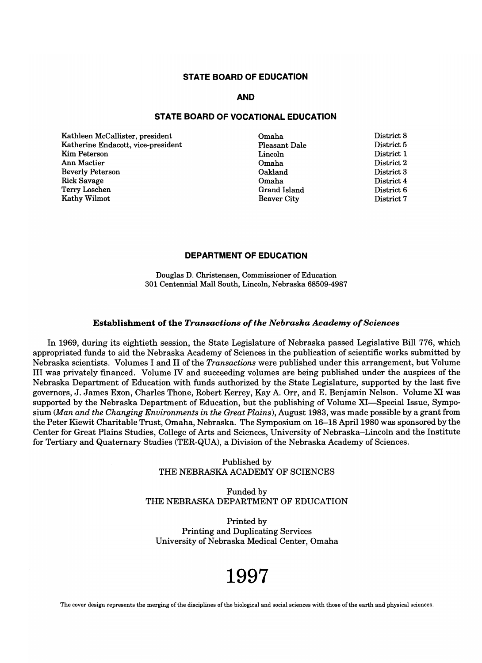#### **STATE BOARD Of EDUCATION**

#### **AND**

#### **STATE BOARD OF VOCATIONAL EDUCATION**

Kathleen McCallister, president Katherine Endacott, vice-president Kim Peterson Ann Mactier Beverly Peterson Rick Savage Terry Loschen Kathy Wilmot

Omaha Pleasant Dale Lincoln Omaha Oakland Omaha Grand Island Beaver City

District 8 District 5 District 1 District 2 District 3 District 4 District 6 District 7

#### **DEPARTMENT OF EDUCATION**

Douglas D. Christensen, Commissioner of Education 301 Centennial Mall South, Lincoln, Nebraska 68509-4987

#### Establishment of the *Transactions of the Nebraska Academy of Sciences*

In 1969, during its eightieth session, the State Legislature of Nebraska passed Legislative Bill 776, which appropriated funds to aid the Nebraska Academy of Sciences in the publication of scientific works submitted by Nebraska scientists. Volumes I and II of the *Transactions* were published under this arrangement, but Volume III was privately financed. Volume IV and succeeding volumes are being published under the auspices of the Nebraska Department of Education with funds authorized by the State Legislature, supported by the last five governors, J. James Exon, Charles Thone, Robert Kerrey, Kay A. Orr, and E. Benjamin Nelson. Volume XI was supported by the Nebraska Department of Education, but the publishing of Volume XI-Special Issue, Symposium *(Man and the Changing Environments in the Great Plains),* August 1983, was made possible by a grant from the Peter Kiewit Charitable Trust, Omaha, Nebraska. The Symposium on 16-18 April 1980 was sponsored by the Center for Great Plains Studies, College of Arts and Sciences, University of Nebraska-Lincoln and the Institute for Tertiary and Quaternary Studies (TER-QUA), a Division of the Nebraska Academy of Sciences.

> Published by THE NEBRASKA ACADEMY OF SCIENCES

#### Funded by THE NEBRASKA DEPARTMENT OF EDUCATION

Printed by Printing and Duplicating Services University of Nebraska Medical Center, Omaha

# **1997**

The cover design represents the merging of the disciplines of the biological and social sciences with those of the earth and physical sciences.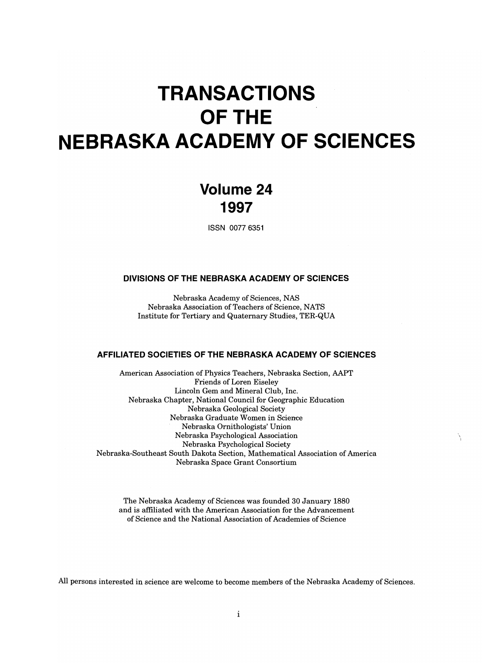# **TRANSACTIONS OFTHE NEBRASKA ACADEMY OF SCIENCES**

### **Volume 24 1997**

ISSN 0077 6351

#### **DIVISIONS OF THE NEBRASKA ACADEMY OF SCIENCES**

Nebraska Academy of Sciences, NAS Nebraska Association of Teachers of Science, NATS Institute for Tertiary and Quaternary Studies, TER-QUA

#### **AFFILIATED SOCIETIES OF THE NEBRASKA ACADEMY OF SCIENCES**

American Association of Physics Teachers, Nebraska Section, AAPT Friends of Loren Eiseley Lincoln Gem and Mineral Club, Inc. Nebraska Chapter, National Council for Geographic Education Nebraska Geological Society Nebraska Graduate Women in Science Nebraska Ornithologists' Union Nebraska Psychological Association Nebraska Psychological Society Nebraska-Southeast South Dakota Section, Mathematical Association of America Nebraska Space Grant Consortium

The Nebraska Academy of Sciences was founded 30 January 1880 and is affiliated with the American Association for the Advancement of Science and the National Association of Academies of Science

All persons interested in science are welcome to become members of the Nebraska Academy of Sciences.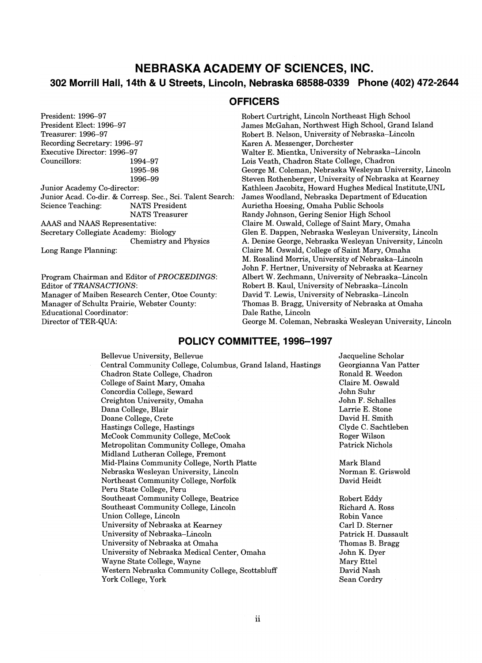### **NEBRASKA ACADEMY OF SCIENCES, INC. 302 Morrill Hall, 14th & U Streets, Lincoln, Nebraska 68588-0339 Phone (402) 472-2644**

#### **OFFICERS**

President: 1996-97 President Elect: 1996-97 Treasurer: 1996-97 Recording Secretary: 1996-97 Executive Director: 1996-97 Councillors: 1994-97 1995-98 1996-99 Junior Academy Co-director: unior Academy Co-director.<br>Unior Acad. Co. dir. & Corresp. Sec., Sci. Talent Search: allion Ticau. Co-un. & Corresp. Dec., Der. Ta.<br>Science Teaching: MATS Dresident NATS President<br>NATS Treasurer AAAS and NAAS Representative: Secretary Collegiate Academy: Biology Chemistry and Physics Long Range Planning:

Program Chairman and Editor of *PROCEEDINGS:*  Editor of *TRANSACTIONS:*  Manager of Maiben Research Center, Otoe County: Manager of Schultz Prairie, Webster County: Educational Coordinator: Director of TER-QUA:

Robert Curtright, Lincoln Northeast High School James McGahan, Northwest High School, Grand Island Robert B. Nelson, University of Nebraska-Lincoln Karen A. Messenger, Dorchester Walter E. Mientka, University of Nebraska-Lincoln Lois Veath, Chadron State College, Chadron George M. Coleman, Nebraska Wesleyan University, Lincoln Steven Rothenberger, University of Nebraska at Kearney Kathleen Jacobitz, Howard Hughes Medical Institute,UNL James Woodland, Nebraska Department of Education Aurietha Hoesing, Omaha Public Schools Randy Johnson, Gering Senior High School Claire M. Oswald, College of Saint Mary, Omaha Glen E. Dappen, Nebraska Wesleyan University, Lincoln A. Denise George, Nebraska Wesleyan University, Lincoln Claire M. Oswald, College of Saint Mary, Omaha M. Rosalind Morris, University of Nebraska-Lincoln John F. Hertner, University of Nebraska at Kearney Albert W. Zechmann, University of Nebraska-Lincoln Robert B. Kaul, University of Nebraska-Lincoln David T. Lewis, University of Nebraska-Lincoln Thomas B. Bragg, University of Nebraska at Omaha Dale Rathe, Lincoln George M. Coleman, Nebraska Wesleyan University, Lincoln

#### **POLICY COMMITTEE, 1996-1997**

Bellevue University, Bellevue Central Community College, Columbus, Grand Island, Hastings Chadron State College, Chadron College of Saint Mary, Omaha Concordia College, Seward Creighton University, Omaha Dana College, Blair Doane College, Crete Hastings College, Hastings McCook Community College, McCook Metropolitan Community College, Omaha Midland Lutheran College, Fremont Mid-Plains Community College, North Platte Nebraska Wesleyan University, Lincoln Northeast Community College, Norfolk Peru State College, Peru Southeast Community College, Beatrice Southeast Community College, Lincoln Union College, Lincoln University of Nebraska at Kearney University of Nebraska-Lincoln University of Nebraska at Omaha University of Nebraska Medical Center, Omaha Wayne State College, Wayne Western Nebraska Community College, Scottsbluff York College, York

Jacqueline Scholar Georgianna Van Patter Ronald R. Weedon Claire M. Oswald John Suhr John F. Schalles Larrie E. Stone David H. Smith Clyde C. Sachtleben Roger Wilson Patrick Nichols

Mark Bland Norman E. Griswold David Heidt

Robert Eddy Richard A. Ross Robin Vance Carl D. Sterner Patrick H. Dussault Thomas B. Bragg John K. Dyer Mary Ettel David Nash Sean Cordry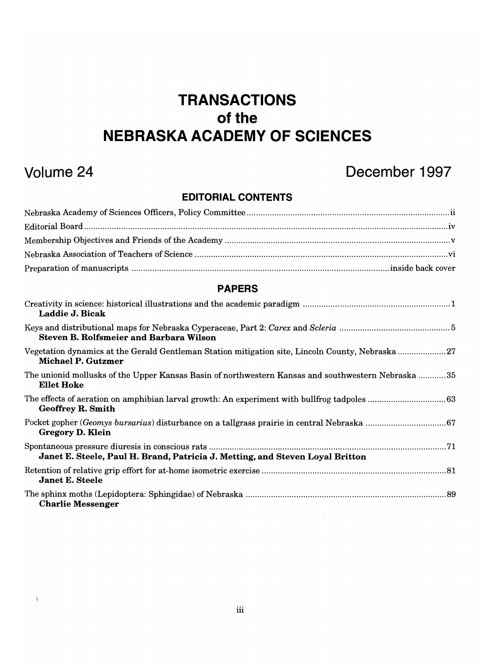# **TRANSACTIONS of the NEBRASKA ACADEMY OF SCIENCES**

 $\Lambda$ 

## **Volume 24 December 1997**

### **EDITORIAL CONTENTS**

| <b>PAPERS</b>                                                                                                           |
|-------------------------------------------------------------------------------------------------------------------------|
| Laddie J. Bicak                                                                                                         |
| <b>Steven B. Rolfsmeier and Barbara Wilson</b>                                                                          |
| Vegetation dynamics at the Gerald Gentleman Station mitigation site, Lincoln County, Nebraska 27<br>Michael P. Gutzmer  |
| The unionid mollusks of the Upper Kansas Basin of northwestern Kansas and southwestern Nebraska 35<br><b>Ellet Hoke</b> |
| <b>Geoffrey R. Smith</b>                                                                                                |
| <b>Gregory D. Klein</b>                                                                                                 |
| Janet E. Steele, Paul H. Brand, Patricia J. Metting, and Steven Loyal Britton                                           |
| <b>Janet E. Steele</b>                                                                                                  |
| <b>Charlie Messenger</b>                                                                                                |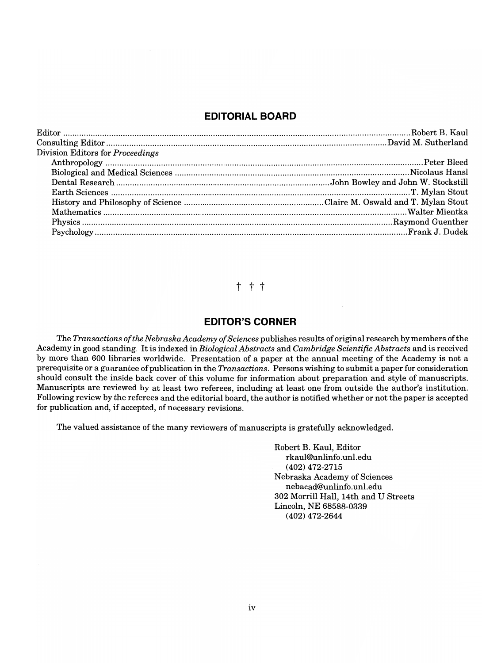### **EDITORIAL BOARD**

| Division Editors for Proceedings |  |
|----------------------------------|--|
|                                  |  |
|                                  |  |
|                                  |  |
|                                  |  |
|                                  |  |
|                                  |  |
|                                  |  |
|                                  |  |

### t t t

#### **EDITOR'S CORNER**

The *Transactions of the Nebraska Academy of Sciences* publishes results of original research by members ofthe Academy in good standing. It is indexed in *Biological Abstracts* and *Cambridge Scientific Abstracts* and is received by more than 600 libraries worldwide. Presentation of a paper at the annual meeting of the Academy is not a prerequisite or a guarantee of publication in the *Transactions.* Persons wishing to submit a paper for consideration should consult the inside back cover of this volume for information about preparation and style of manuscripts. Manuscripts are reviewed by at least two referees, including at least one from outside the author's institution. Following review by the referees and the editorial board, the author is notified whether or not the paper is accepted for publication and, if accepted, of necessary revisions.

The valued assistance of the many reviewers of manuscripts is gratefully acknowledged.

Robert B. Kaul, Editor rkaul®Unlinfo.unl.edu (402) 472-2715 Nebraska Academy of Sciences nebacad®Unlinfo.unl.edu 302 Morrill Hall, 14th and U Streets Lincoln, NE 68588-0339 (402) 472-2644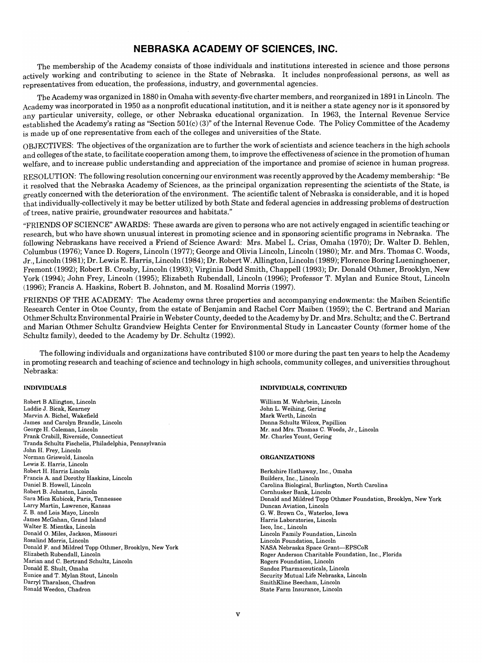#### **NEBRASKA ACADEMY OF SCIENCES, INC.**

The membership of the Academy consists of those individuals and institutions interested in science and those persons actively working and contributing to science in the State of Nebraska. It includes nonprofessional persons, as well as representatives from education, the professions, industry, and governmental agencies.

The Academy was organized in 1880 in Omaha with seventy-five charter members, and reorganized in 1891 in Lincoln. The Academy was incorporated in 1950 as a nonprofit educational institution, and it is neither a state agency nor is it sponsored by any particular university, college, or other Nebraska educational organization. In 1963, the Internal Revenue Service established the Academy's rating as "Section 501(c) (3)" of the Internal Revenue Code. The Policy Committee of the Academy is made up of one representative from each of the colleges and universities of the State.

OBJECTIVES: The objectives of the organization are to further the work of scientists and science teachers in the high schools and colleges ofthe state, to facilitate cooperation among them, to improve the effectiveness of science in the promotion of human welfare, and to increase public understanding and appreciation of the importance and promise of science in human progress.

RESOLUTION: The following resolution concerning our environment was recently approved by the Academy membership: "Be it resolved that the Nebraska Academy of Sciences, as the principal organization representing the scientists of the State, is greatly concerned with the deterioration of the environment. The scientific talent of Nebraska is considerable, and it is hoped that individually-collectively it may be better utilized by both State and federal agencies in addressing problems of destruction of trees, native prairie, groundwater resources and habitats."

"FRIENDS OF SCIENCE" AWARDS: These awards are given to persons who are not actively engaged in scientific teaching or research, but who have shown unusual interest in promoting science and in sponsoring scientific programs in Nebraska. The following Nebraskans have received a Friend of Science Award: Mrs. Mabel L. Criss, Omaha (1970); Dr. Walter D. Behlen, Columbus (1976); Vance D. Rogers, Lincoln (1977); George and Olivia Lincoln, Lincoln (1980); Mr. and Mrs. Thomas C. Woods, Jr., Lincoln (1981); Dr. Lewis E. Harris, Lincoln (1984); Dr. Robert W. Allington, Lincoln (1989); Florence Boring Lueninghoener, Fremont (1992); Robert B. Crosby, Lincoln (1993); Virginia Dodd Smith, Chappell (1993); Dr. Donald Othmer, Brooklyn, New York (1994); John Frey, Lincoln (1995); Elizabeth Rubendall, Lincoln (1996); Professor T. Mylan and Eunice Stout, Lincoln (1996); Francis A. Haskins, Robert B. Johnston, and M. Rosalind Morris (1997).

FRIENDS OF THE ACADEMY: The Academy owns three properties and accompanying endowments: the Maiben Scientific Research Center in Otoe County, from the estate of Benjamin and Rachel Corr Maiben (1959); the C. Bertrand and Marian Othmer Schultz Environmental Prairie in Webster County, deeded to the Academy by Dr. and Mrs. Schultz; and the C. Bertrand and Marian Othmer Schultz Grandview Heights Center for Environmental Study in Lancaster County (former home of the Schultz family), deeded to the Academy by Dr. Schultz (1992).

The following individuals and organizations have contributed \$100 or more during the past ten years to help the Academy in promoting research and teaching of science and technology in high schools, community colleges, and universities throughout Nebraska:

#### INDIVIDUALS

Robert B Allington, Lincoln beert is Allington, Lincoln Laddie J. Bicak, Kearney<br>Marvin A. Bichel, Wakefield  $\alpha$  arvin A. Bichel, wakefield mes and Carolyn Brandle, L Frank Crabill, Riverside, Connecticut  $T_{\rm max}$   $T_{\rm max}$   $T_{\rm max}$   $T_{\rm max}$   $T_{\rm max}$   $T_{\rm max}$   $T_{\rm max}$   $T_{\rm max}$   $T_{\rm max}$   $T_{\rm max}$   $T_{\rm max}$   $T_{\rm max}$   $T_{\rm max}$   $T_{\rm max}$   $T_{\rm max}$   $T_{\rm max}$   $T_{\rm max}$   $T_{\rm max}$   $T_{\rm max}$   $T_{\rm max}$   $T_{\rm max}$   $T_{\rm max}$   $T_{\rm max}$   $T_{\rm max}$   $T_{\rm$ anda Schultz Fischen. Norman Griswold, Lincoln brinan Griswold, Lincoln Lewis E. Harris, Lincoln<br>Robert H. Harris Lincoln Francis A. and Dorothy Haskins, Lincoln ancis A. and Dorothy Has. amer B. Howell, Lincoln Robert B. Johnston, Lincoln Sara Mica Kubicek, Paris, Tennessee Larry Martin, Lawrence, Kansas Z. B. and Lois Mayo, Lincoln James McGahan, Grand Island<br>Walter E. Mientka, Lincoln Donald O. Miles, Jackson, Missouri biald O. Miles, Jackson, I boahing Morris, Lincoln<br>College Toppin, New York New York New York maid **r**. and mildred Topp Ot.  $\frac{1}{2}$ aberth Kubendall, Lincoln  $\frac{1}{2}$ anali and C. Dertrand Sc  $\frac{m}{L}$ . Shuit, Omana  $\frac{1}{2}$  and  $\frac{1}{2}$   $\frac{1}{2}$   $\frac{1}{2}$   $\frac{1}{2}$   $\frac{1}{2}$   $\frac{1}{2}$   $\frac{1}{2}$   $\frac{1}{2}$   $\frac{1}{2}$   $\frac{1}{2}$   $\frac{1}{2}$   $\frac{1}{2}$   $\frac{1}{2}$   $\frac{1}{2}$   $\frac{1}{2}$   $\frac{1}{2}$   $\frac{1}{2}$   $\frac{1}{2}$   $\frac{1}{2}$   $\frac{1}{2}$   $\frac{1}{2$ Darryl Tharalson, Chadron<br>Ronald Weedon, Chadron

#### INDIVIDUALS, CONTINUED

illiam M. Wehrbein, Lincoln John L. Weihing, Gering<br>Mark Werth, Lincoln Donna Schultz Wilcox, Papillion  $\sum_{\mathbf{M}}$   $\sum_{\mathbf{M}}$   $\sum_{\mathbf{M}}$   $\sum_{\mathbf{M}}$   $\sum_{\mathbf{M}}$   $\sum_{\mathbf{M}}$   $\sum_{\mathbf{M}}$   $\sum_{\mathbf{M}}$   $\sum_{\mathbf{M}}$   $\sum_{\mathbf{M}}$   $\sum_{\mathbf{M}}$   $\sum_{\mathbf{M}}$   $\sum_{\mathbf{M}}$   $\sum_{\mathbf{M}}$   $\sum_{\mathbf{M}}$   $\sum_{\mathbf{M}}$   $\sum_{\mathbf{M}}$   $\sum_{\mathbf{M}}$   $\sum_{\$  $\frac{1}{2}$  and Mrs. Thomas C. Woo

#### ORGANIZATIONS

Berkshire Hathaway, Inc., Omaha erksnire riatnaway, inc.<br>...  $\alpha$  and  $\alpha$ ,  $\alpha$ ,  $\alpha$ ,  $\alpha$ ,  $\alpha$ ,  $\alpha$ ,  $\alpha$ ,  $\alpha$ ,  $\alpha$ ,  $\alpha$ ,  $\alpha$ ,  $\alpha$ ,  $\alpha$ ,  $\alpha$ ,  $\alpha$ ,  $\alpha$ ,  $\alpha$ ,  $\alpha$ ,  $\alpha$ ,  $\alpha$ ,  $\alpha$ ,  $\alpha$ ,  $\alpha$ ,  $\alpha$ ,  $\alpha$ ,  $\alpha$ ,  $\alpha$ ,  $\alpha$ ,  $\alpha$ ,  $\alpha$ ,  $\alpha$ ,  $\alpha$ ,  $\alpha$ ,  $\alpha$ ,  $\alpha$ ,  $\$ arolina Biological, Burlingu DONALD AND MILDRED AND MILDRED AND MILDRED TOP OTHER FOUNDATION, NEW YORK IS AND MILDRED TO A MILDRED AND MILDRED AND MILDRED AND MILDRED AND MILDRED AND MILDRED AND MILDRED AND MILDRED AND MILDRED AND MILDRED AND MILDRED onald and Mildred Topp O  $G_{\text{U}}$  Brown  $G_{\text{U}}$  With  $I$  $W.$  Brown Co., Waterloo, low Harris Laboratories, Lincoln<br>Isco, Inc., Lincoln  $\text{co}, \text{inc}, \text{Lincon}$ ncoln Falmly Foundation, Lincoln ncoin Foundation, Lincoin<br>ASA NASA Grant-EPSCOR RSA Nedraska Space Grant—LetSCon Roger Anderson Charitable Foundation, Inc., Florida<br>Rogers Foundation, Lincoln Sandoz Pharmaceuticals, Lincoln  $\frac{1}{2}$  Mutual Mutual Lincoln Security Mutual Lile Nebraska, SmithKline Beecham, Lincoln<br>State Farm Insurance, Lincoln